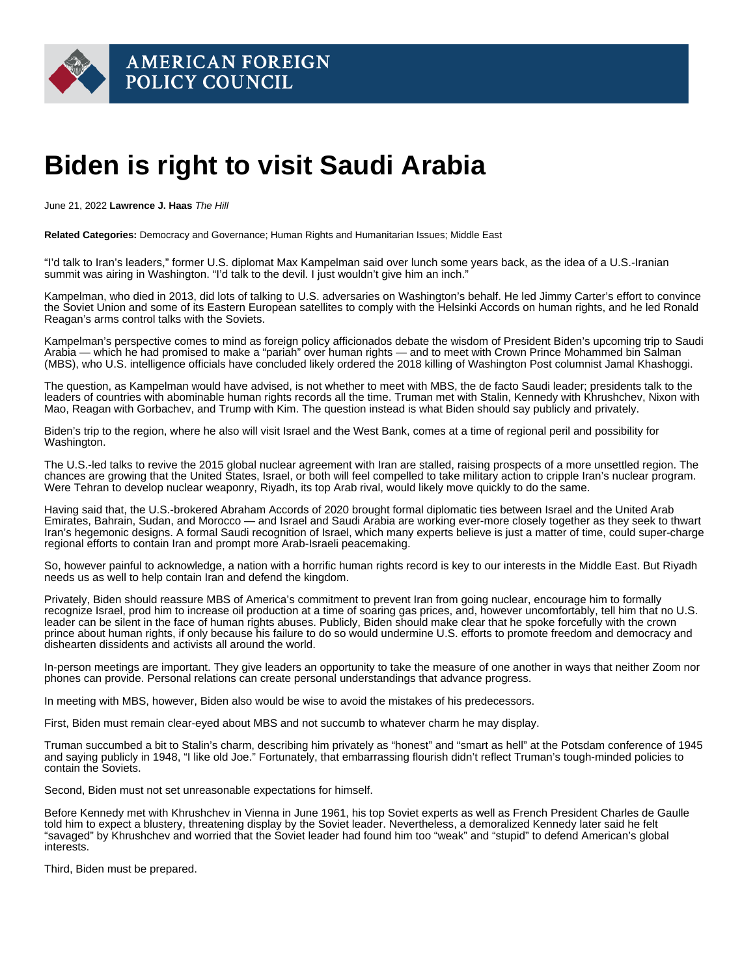## Biden is right to visit Saudi Arabia

June 21, 2022 Lawrence J. Haas The Hill

Related Categories: Democracy and Governance; Human Rights and Humanitarian Issues; Middle East

"I'd talk to Iran's leaders," former U.S. diplomat Max Kampelman said over lunch some years back, as the idea of a U.S.-Iranian summit was airing in Washington. "I'd talk to the devil. I just wouldn't give him an inch."

Kampelman, who died in 2013, did [lots of talking](https://www.nytimes.com/2013/01/29/world/europe/max-kampelman-who-led-arms-talks-with-soviet-union-dies-at-92.html) to U.S. adversaries on Washington's behalf. He led Jimmy Carter's effort to convince the Soviet Union and some of its Eastern European satellites to comply with the Helsinki Accords on human rights, and he led Ronald Reagan's arms control talks with the Soviets.

Kampelman's perspective comes to mind as foreign policy afficionados debate the wisdom of [President Biden's](https://thehill.com/people/joe-biden/) upcoming [trip to Saudi](https://www.whitehouse.gov/briefing-room/statements-releases/2022/06/14/statement-by-press-secretary-karine-jean-pierre-on-president-bidens-travel-to-israel-the-west-bank-and-saudi-arabia/)  [Arabia](https://www.whitehouse.gov/briefing-room/statements-releases/2022/06/14/statement-by-press-secretary-karine-jean-pierre-on-president-bidens-travel-to-israel-the-west-bank-and-saudi-arabia/) — which he had promised to make a ["pariah"](https://apnews.com/article/biden-business-israel-saudi-arabia-jamal-khashoggi-edba0435dedc08db952c406536d67713) over human rights — and to meet with Crown Prince Mohammed bin Salman (MBS), who U.S. intelligence officials have concluded likely ordered the 2018 killing of Washington Post columnist Jamal Khashoggi.

The question, as Kampelman would have advised, is not whether to meet with MBS, the de facto Saudi leader; presidents talk to the leaders of countries with abominable human rights records all the time. Truman met with Stalin, Kennedy with Khrushchev, Nixon with Mao, Reagan with Gorbachev, and Trump with Kim. The question instead is what [Biden](https://thehill.com/people/biden/) should say publicly and privately.

Biden's trip to the region, where he also will visit Israel and the West Bank, comes at a time of regional peril and possibility for Washington.

The U.S.-led talks to revive the 2015 global nuclear agreement with Iran are stalled, raising prospects of a more unsettled region. The chances are growing that the United States, Israel, or both will feel compelled to take military action to cripple Iran's nuclear program. Were Tehran to develop nuclear weaponry, Riyadh, its top Arab rival, would [likely move quickly](https://www.foxnews.com/world/saudi-arabia-bomb-iran-deal-experts) to do the same.

Having said that, the U.S.-brokered Abraham Accords of 2020 brought formal diplomatic ties between Israel and the United Arab Emirates, Bahrain, Sudan, and Morocco — and Israel and Saudi Arabia are working ever-more closely together as they seek to thwart Iran's hegemonic designs. A formal Saudi recognition of Israel, which many experts believe is just a matter of time, could super-charge regional efforts to contain Iran and prompt more Arab-Israeli peacemaking.

So, however painful to acknowledge, a nation with a horrific human rights record is key to our interests in the Middle East. But Riyadh needs us as well to help contain Iran and defend the kingdom.

Privately, Biden should reassure MBS of America's commitment to prevent Iran from going nuclear, encourage him to formally recognize Israel, prod him to increase oil production at a time of soaring gas prices, and, however uncomfortably, tell him that no U.S. leader can be silent in the face of human rights abuses. Publicly, Biden should make clear that he spoke forcefully with the crown prince about human rights, if only because his failure to do so would undermine U.S. efforts to promote freedom and democracy and dishearten dissidents and activists all around the world.

In-person meetings are important. They give leaders an opportunity to take the measure of one another in ways that neither Zoom nor phones can provide. Personal relations can create personal understandings that advance progress.

In meeting with MBS, however, Biden also would be wise to avoid the mistakes of his predecessors.

First, Biden must remain clear-eyed about MBS and not succumb to whatever charm he may display.

Truman succumbed a bit to Stalin's charm, [describing](https://www.washingtonpost.com/news/retropolis/wp/2018/07/17/he-is-honest-but-smart-as-hell-when-truman-met-stalin/) him privately as "honest" and "smart as hell" at the Potsdam conference of 1945 and saying publicly in 1948, "I like old Joe." Fortunately, that embarrassing flourish didn't reflect Truman's tough-minded policies to contain the Soviets.

Second, Biden must not set unreasonable expectations for himself.

Before Kennedy met with Khrushchev in Vienna in June 1961, his top Soviet experts as well as French President Charles de Gaulle told him to expect a blustery, threatening display by the Soviet leader. Nevertheless, a demoralized Kennedy later [said](https://www.amazon.com/Kennedys-World-Remade-Americas-Empire-ebook/dp/B08MPLQ619/ref=sr_1_1?crid=3KWOGO55MSYJ&keywords=the+kennedys+in+the+world&qid=1655398671&sprefix=the+kennedys+in+the+world,aps,253&sr=8-1) he felt "savaged" by Khrushchev and worried that the Soviet leader had found him too "weak" and "stupid" to defend American's global interests.

Third, Biden must be prepared.